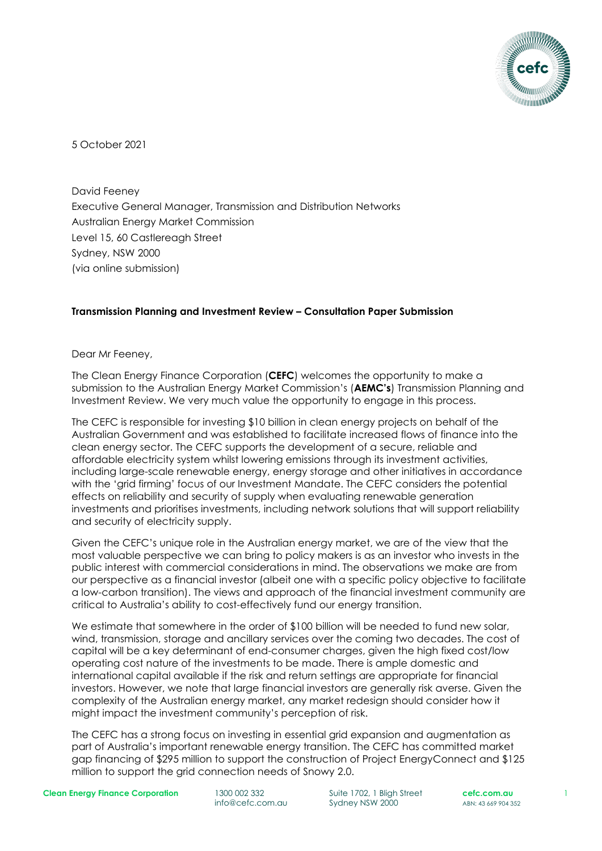

5 October 2021

David Feeney Executive General Manager, Transmission and Distribution Networks Australian Energy Market Commission Level 15, 60 Castlereagh Street Sydney, NSW 2000 (via online submission)

#### **Transmission Planning and Investment Review – Consultation Paper Submission**

#### Dear Mr Feeney,

The Clean Energy Finance Corporation (**CEFC**) welcomes the opportunity to make a submission to the Australian Energy Market Commission's (**AEMC's**) Transmission Planning and Investment Review. We very much value the opportunity to engage in this process.

The CEFC is responsible for investing \$10 billion in clean energy projects on behalf of the Australian Government and was established to facilitate increased flows of finance into the clean energy sector. The CEFC supports the development of a secure, reliable and affordable electricity system whilst lowering emissions through its investment activities, including large-scale renewable energy, energy storage and other initiatives in accordance with the 'grid firming' focus of our Investment Mandate. The CEFC considers the potential effects on reliability and security of supply when evaluating renewable generation investments and prioritises investments, including network solutions that will support reliability and security of electricity supply.

Given the CEFC's unique role in the Australian energy market, we are of the view that the most valuable perspective we can bring to policy makers is as an investor who invests in the public interest with commercial considerations in mind. The observations we make are from our perspective as a financial investor (albeit one with a specific policy objective to facilitate a low-carbon transition). The views and approach of the financial investment community are critical to Australia's ability to cost-effectively fund our energy transition.

We estimate that somewhere in the order of \$100 billion will be needed to fund new solar, wind, transmission, storage and ancillary services over the coming two decades. The cost of capital will be a key determinant of end-consumer charges, given the high fixed cost/low operating cost nature of the investments to be made. There is ample domestic and international capital available if the risk and return settings are appropriate for financial investors. However, we note that large financial investors are generally risk averse. Given the complexity of the Australian energy market, any market redesign should consider how it might impact the investment community's perception of risk.

The CEFC has a strong focus on investing in essential grid expansion and augmentation as part of Australia's important renewable energy transition. The CEFC has committed market gap financing of \$295 million to support the construction of Project EnergyConnect and \$125 million to support the grid connection needs of Snowy 2.0.

**Clean Energy Finance Corporation** 1300 002 332

info@cefc.com.au

Suite 1702, 1 Bligh Street Sydney NSW 2000

**cefc.com.au** ABN: 43 669 904 352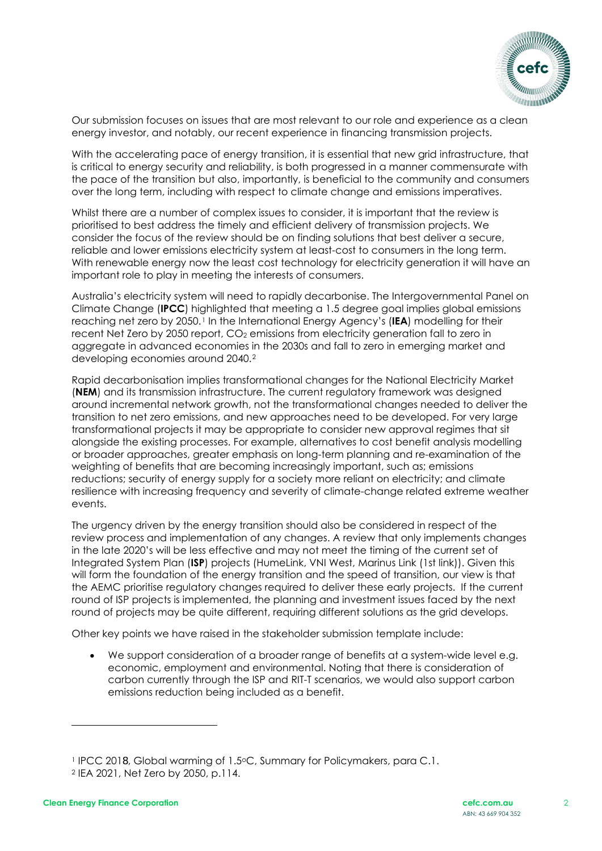

Our submission focuses on issues that are most relevant to our role and experience as a clean energy investor, and notably, our recent experience in financing transmission projects.

With the accelerating pace of energy transition, it is essential that new grid infrastructure, that is critical to energy security and reliability, is both progressed in a manner commensurate with the pace of the transition but also, importantly, is beneficial to the community and consumers over the long term, including with respect to climate change and emissions imperatives.

Whilst there are a number of complex issues to consider, it is important that the review is prioritised to best address the timely and efficient delivery of transmission projects. We consider the focus of the review should be on finding solutions that best deliver a secure, reliable and lower emissions electricity system at least-cost to consumers in the long term. With renewable energy now the least cost technology for electricity generation it will have an important role to play in meeting the interests of consumers.

Australia's electricity system will need to rapidly decarbonise. The Intergovernmental Panel on Climate Change (**IPCC**) highlighted that meeting a 1.5 degree goal implies global emissions reaching net zero by 2050.[1](#page-1-0) In the International Energy Agency's (**IEA**) modelling for their recent Net Zero by 2050 report, CO<sub>2</sub> emissions from electricity generation fall to zero in aggregate in advanced economies in the 2030s and fall to zero in emerging market and developing economies around 2040.[2](#page-1-1)

Rapid decarbonisation implies transformational changes for the National Electricity Market (**NEM**) and its transmission infrastructure. The current regulatory framework was designed around incremental network growth, not the transformational changes needed to deliver the transition to net zero emissions, and new approaches need to be developed. For very large transformational projects it may be appropriate to consider new approval regimes that sit alongside the existing processes. For example, alternatives to cost benefit analysis modelling or broader approaches, greater emphasis on long-term planning and re-examination of the weighting of benefits that are becoming increasingly important, such as; emissions reductions; security of energy supply for a society more reliant on electricity; and climate resilience with increasing frequency and severity of climate-change related extreme weather events.

The urgency driven by the energy transition should also be considered in respect of the review process and implementation of any changes. A review that only implements changes in the late 2020's will be less effective and may not meet the timing of the current set of Integrated System Plan (**ISP**) projects (HumeLink, VNI West, Marinus Link (1st link)). Given this will form the foundation of the energy transition and the speed of transition, our view is that the AEMC prioritise regulatory changes required to deliver these early projects. If the current round of ISP projects is implemented, the planning and investment issues faced by the next round of projects may be quite different, requiring different solutions as the grid develops.

Other key points we have raised in the stakeholder submission template include:

• We support consideration of a broader range of benefits at a system-wide level e.g. economic, employment and environmental. Noting that there is consideration of carbon currently through the ISP and RIT-T scenarios, we would also support carbon emissions reduction being included as a benefit.

<span id="page-1-0"></span><sup>1</sup> IPCC 2018, Global warming of 1.5oC, Summary for Policymakers, para C.1.

<span id="page-1-1"></span><sup>2</sup> IEA 2021, Net Zero by 2050, p.114.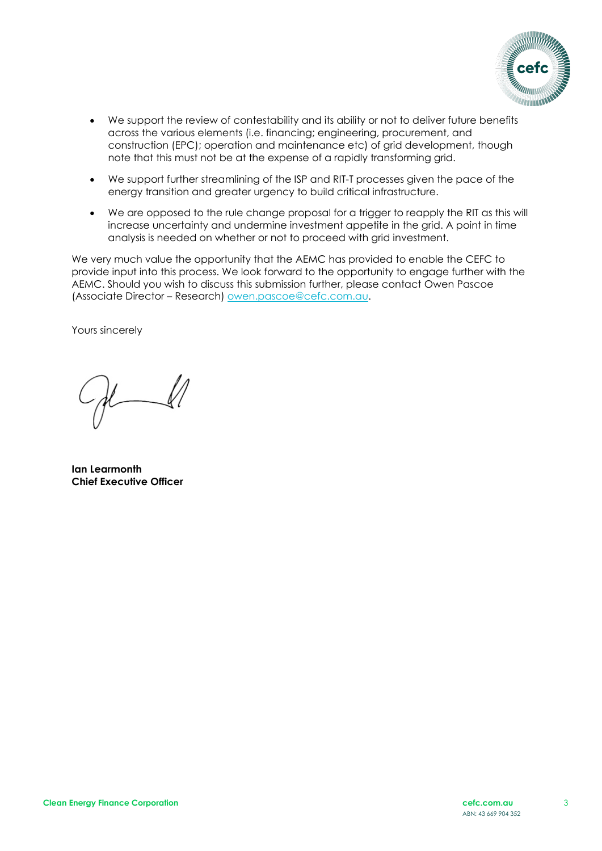

- We support the review of contestability and its ability or not to deliver future benefits across the various elements (i.e. financing; engineering, procurement, and construction (EPC); operation and maintenance etc) of grid development, though note that this must not be at the expense of a rapidly transforming grid.
- We support further streamlining of the ISP and RIT-T processes given the pace of the energy transition and greater urgency to build critical infrastructure.
- We are opposed to the rule change proposal for a trigger to reapply the RIT as this will increase uncertainty and undermine investment appetite in the grid. A point in time analysis is needed on whether or not to proceed with grid investment.

We very much value the opportunity that the AEMC has provided to enable the CEFC to provide input into this process. We look forward to the opportunity to engage further with the AEMC. Should you wish to discuss this submission further, please contact Owen Pascoe (Associate Director – Research) [owen.pascoe@cefc.com.au.](mailto:owen.pascoe@cefc.com.au)

Yours sincerely

**Ian Learmonth Chief Executive Officer**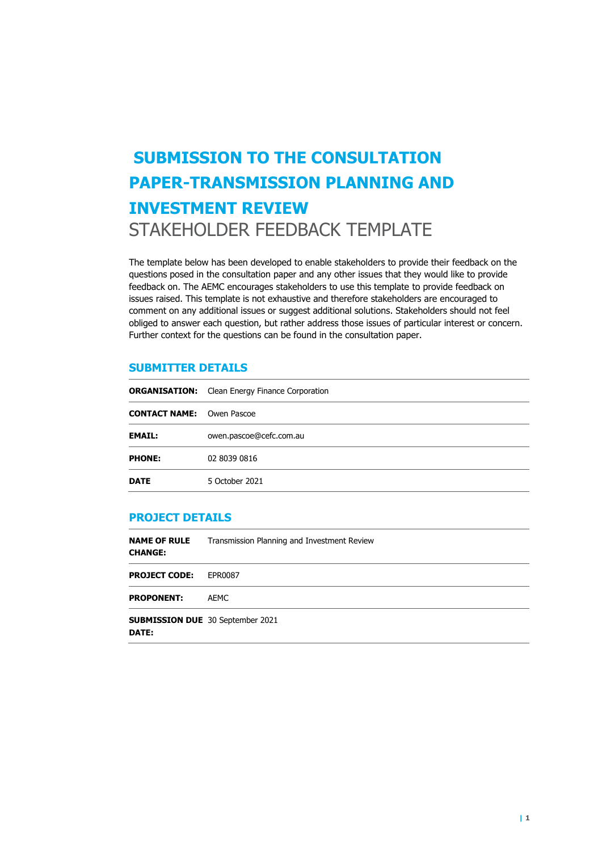# **SUBMISSION TO THE CONSULTATION PAPER-TRANSMISSION PLANNING AND INVESTMENT REVIEW**  STAKEHOLDER FEEDBACK TEMPLATE

The template below has been developed to enable stakeholders to provide their feedback on the questions posed in the consultation paper and any other issues that they would like to provide feedback on. The AEMC encourages stakeholders to use this template to provide feedback on issues raised. This template is not exhaustive and therefore stakeholders are encouraged to comment on any additional issues or suggest additional solutions. Stakeholders should not feel obliged to answer each question, but rather address those issues of particular interest or concern. Further context for the questions can be found in the consultation paper.

## **SUBMITTER DETAILS**

|                                  | <b>ORGANISATION:</b> Clean Energy Finance Corporation |  |
|----------------------------------|-------------------------------------------------------|--|
| <b>CONTACT NAME:</b> Owen Pascoe |                                                       |  |
| <b>EMAIL:</b>                    | owen.pascoe@cefc.com.au                               |  |
| <b>PHONE:</b>                    | 02 8039 0816                                          |  |
| <b>DATE</b>                      | 5 October 2021                                        |  |

#### **PROJECT DETAILS**

| <b>NAME OF RULE</b><br><b>CHANGE:</b>                   | Transmission Planning and Investment Review |
|---------------------------------------------------------|---------------------------------------------|
| <b>PROJECT CODE:</b>                                    | EPR0087                                     |
| <b>PROPONENT:</b>                                       | AEMC                                        |
| <b>SUBMISSION DUE</b> 30 September 2021<br><b>DATE:</b> |                                             |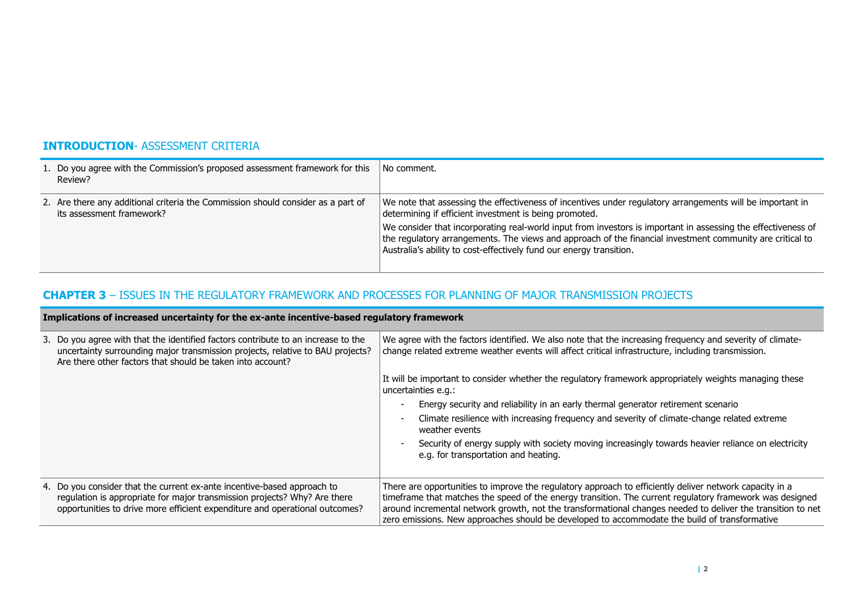## **INTRODUCTION**- ASSESSMENT CRITERIA

| 1. Do you agree with the Commission's proposed assessment framework for this<br>Review?                       | No comment.                                                                                                                                                                                                                                                                                                                                                                                                                                                              |
|---------------------------------------------------------------------------------------------------------------|--------------------------------------------------------------------------------------------------------------------------------------------------------------------------------------------------------------------------------------------------------------------------------------------------------------------------------------------------------------------------------------------------------------------------------------------------------------------------|
| 2. Are there any additional criteria the Commission should consider as a part of<br>its assessment framework? | We note that assessing the effectiveness of incentives under regulatory arrangements will be important in<br>determining if efficient investment is being promoted.<br>We consider that incorporating real-world input from investors is important in assessing the effectiveness of<br>the regulatory arrangements. The views and approach of the financial investment community are critical to<br>Australia's ability to cost-effectively fund our energy transition. |

## **CHAPTER 3** – ISSUES IN THE REGULATORY FRAMEWORK AND PROCESSES FOR PLANNING OF MAJOR TRANSMISSION PROJECTS

**Implications of increased uncertainty for the ex-ante incentive-based regulatory framework**

| Implications of increased uncertainty for the ex-ante incentive-based requiatory framework                                                                                                                                          |                                                                                                                                                                                                                                                                                                                                                                                                                                      |  |
|-------------------------------------------------------------------------------------------------------------------------------------------------------------------------------------------------------------------------------------|--------------------------------------------------------------------------------------------------------------------------------------------------------------------------------------------------------------------------------------------------------------------------------------------------------------------------------------------------------------------------------------------------------------------------------------|--|
| 3. Do you agree with that the identified factors contribute to an increase to the<br>uncertainty surrounding major transmission projects, relative to BAU projects?<br>Are there other factors that should be taken into account?   | We agree with the factors identified. We also note that the increasing frequency and severity of climate-<br>change related extreme weather events will affect critical infrastructure, including transmission.                                                                                                                                                                                                                      |  |
|                                                                                                                                                                                                                                     | It will be important to consider whether the regulatory framework appropriately weights managing these<br>uncertainties e.g.:                                                                                                                                                                                                                                                                                                        |  |
|                                                                                                                                                                                                                                     | Energy security and reliability in an early thermal generator retirement scenario<br>$\blacksquare$                                                                                                                                                                                                                                                                                                                                  |  |
|                                                                                                                                                                                                                                     | Climate resilience with increasing frequency and severity of climate-change related extreme<br>$\overline{\phantom{a}}$<br>weather events                                                                                                                                                                                                                                                                                            |  |
|                                                                                                                                                                                                                                     | Security of energy supply with society moving increasingly towards heavier reliance on electricity<br>$\overline{\phantom{a}}$<br>e.g. for transportation and heating.                                                                                                                                                                                                                                                               |  |
| 4. Do you consider that the current ex-ante incentive-based approach to<br>regulation is appropriate for major transmission projects? Why? Are there<br>opportunities to drive more efficient expenditure and operational outcomes? | There are opportunities to improve the regulatory approach to efficiently deliver network capacity in a<br>time frame that matches the speed of the energy transition. The current regulatory framework was designed<br>around incremental network growth, not the transformational changes needed to deliver the transition to net<br>zero emissions. New approaches should be developed to accommodate the build of transformative |  |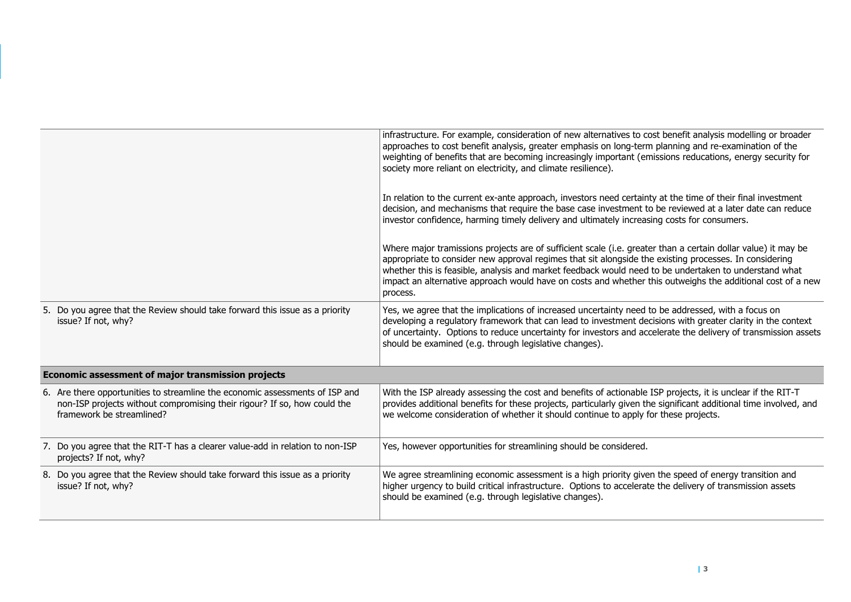|                                                                                                                                                                                       | infrastructure. For example, consideration of new alternatives to cost benefit analysis modelling or broader<br>approaches to cost benefit analysis, greater emphasis on long-term planning and re-examination of the<br>weighting of benefits that are becoming increasingly important (emissions reducations, energy security for<br>society more reliant on electricity, and climate resilience).                                                       |
|---------------------------------------------------------------------------------------------------------------------------------------------------------------------------------------|------------------------------------------------------------------------------------------------------------------------------------------------------------------------------------------------------------------------------------------------------------------------------------------------------------------------------------------------------------------------------------------------------------------------------------------------------------|
|                                                                                                                                                                                       | In relation to the current ex-ante approach, investors need certainty at the time of their final investment<br>decision, and mechanisms that require the base case investment to be reviewed at a later date can reduce<br>investor confidence, harming timely delivery and ultimately increasing costs for consumers.                                                                                                                                     |
|                                                                                                                                                                                       | Where major tramissions projects are of sufficient scale (i.e. greater than a certain dollar value) it may be<br>appropriate to consider new approval regimes that sit alongside the existing processes. In considering<br>whether this is feasible, analysis and market feedback would need to be undertaken to understand what<br>impact an alternative approach would have on costs and whether this outweighs the additional cost of a new<br>process. |
| 5. Do you agree that the Review should take forward this issue as a priority<br>issue? If not, why?                                                                                   | Yes, we agree that the implications of increased uncertainty need to be addressed, with a focus on<br>developing a regulatory framework that can lead to investment decisions with greater clarity in the context<br>of uncertainty. Options to reduce uncertainty for investors and accelerate the delivery of transmission assets<br>should be examined (e.g. through legislative changes).                                                              |
| Economic assessment of major transmission projects                                                                                                                                    |                                                                                                                                                                                                                                                                                                                                                                                                                                                            |
| 6. Are there opportunities to streamline the economic assessments of ISP and<br>non-ISP projects without compromising their rigour? If so, how could the<br>framework be streamlined? | With the ISP already assessing the cost and benefits of actionable ISP projects, it is unclear if the RIT-T<br>provides additional benefits for these projects, particularly given the significant additional time involved, and<br>we welcome consideration of whether it should continue to apply for these projects.                                                                                                                                    |
| 7. Do you agree that the RIT-T has a clearer value-add in relation to non-ISP<br>projects? If not, why?                                                                               | Yes, however opportunities for streamlining should be considered.                                                                                                                                                                                                                                                                                                                                                                                          |
| 8. Do you agree that the Review should take forward this issue as a priority<br>issue? If not, why?                                                                                   | We agree streamlining economic assessment is a high priority given the speed of energy transition and<br>higher urgency to build critical infrastructure. Options to accelerate the delivery of transmission assets<br>should be examined (e.g. through legislative changes).                                                                                                                                                                              |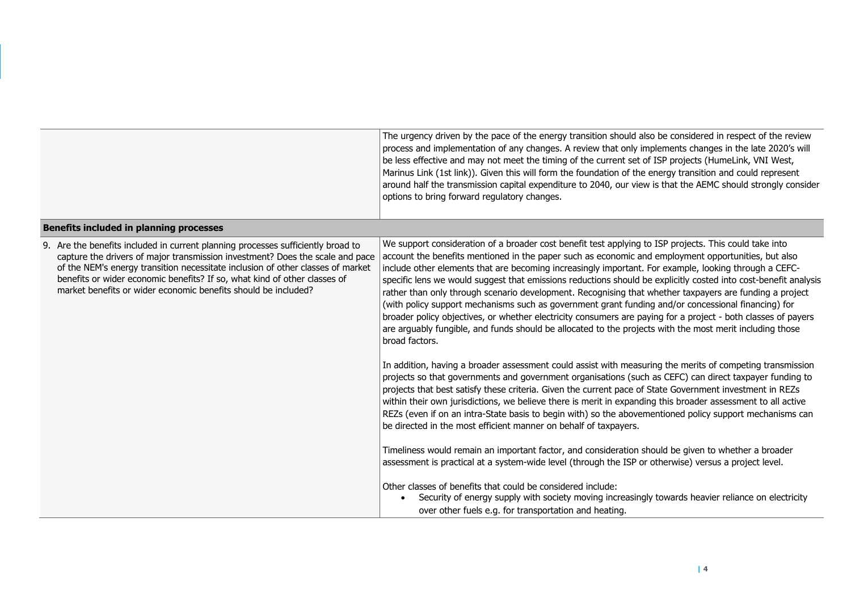|                                                                                                                                                                                                                                                                                                                                                                                                     | The urgency driven by the pace of the energy transition should also be considered in respect of the review<br>process and implementation of any changes. A review that only implements changes in the late 2020's will<br>be less effective and may not meet the timing of the current set of ISP projects (HumeLink, VNI West,<br>Marinus Link (1st link)). Given this will form the foundation of the energy transition and could represent<br>around half the transmission capital expenditure to 2040, our view is that the AEMC should strongly consider<br>options to bring forward regulatory changes.                                                                                                                                                                                                                                                                                                                                                                                                                                                                                                                                                                                                                                                                                                                                                                                                                                                                                                                                                                                                                                                                                                                                                                                                                                                                                                                                                                                |
|-----------------------------------------------------------------------------------------------------------------------------------------------------------------------------------------------------------------------------------------------------------------------------------------------------------------------------------------------------------------------------------------------------|----------------------------------------------------------------------------------------------------------------------------------------------------------------------------------------------------------------------------------------------------------------------------------------------------------------------------------------------------------------------------------------------------------------------------------------------------------------------------------------------------------------------------------------------------------------------------------------------------------------------------------------------------------------------------------------------------------------------------------------------------------------------------------------------------------------------------------------------------------------------------------------------------------------------------------------------------------------------------------------------------------------------------------------------------------------------------------------------------------------------------------------------------------------------------------------------------------------------------------------------------------------------------------------------------------------------------------------------------------------------------------------------------------------------------------------------------------------------------------------------------------------------------------------------------------------------------------------------------------------------------------------------------------------------------------------------------------------------------------------------------------------------------------------------------------------------------------------------------------------------------------------------------------------------------------------------------------------------------------------------|
| <b>Benefits included in planning processes</b>                                                                                                                                                                                                                                                                                                                                                      |                                                                                                                                                                                                                                                                                                                                                                                                                                                                                                                                                                                                                                                                                                                                                                                                                                                                                                                                                                                                                                                                                                                                                                                                                                                                                                                                                                                                                                                                                                                                                                                                                                                                                                                                                                                                                                                                                                                                                                                              |
| 9. Are the benefits included in current planning processes sufficiently broad to<br>capture the drivers of major transmission investment? Does the scale and pace<br>of the NEM's energy transition necessitate inclusion of other classes of market<br>benefits or wider economic benefits? If so, what kind of other classes of<br>market benefits or wider economic benefits should be included? | We support consideration of a broader cost benefit test applying to ISP projects. This could take into<br>account the benefits mentioned in the paper such as economic and employment opportunities, but also<br>include other elements that are becoming increasingly important. For example, looking through a CEFC-<br>specific lens we would suggest that emissions reductions should be explicitly costed into cost-benefit analysis<br>rather than only through scenario development. Recognising that whether taxpayers are funding a project<br>(with policy support mechanisms such as government grant funding and/or concessional financing) for<br>broader policy objectives, or whether electricity consumers are paying for a project - both classes of payers<br>are arguably fungible, and funds should be allocated to the projects with the most merit including those<br>broad factors.<br>In addition, having a broader assessment could assist with measuring the merits of competing transmission<br>projects so that governments and government organisations (such as CEFC) can direct taxpayer funding to<br>projects that best satisfy these criteria. Given the current pace of State Government investment in REZs<br>within their own jurisdictions, we believe there is merit in expanding this broader assessment to all active<br>REZs (even if on an intra-State basis to begin with) so the abovementioned policy support mechanisms can<br>be directed in the most efficient manner on behalf of taxpayers.<br>Timeliness would remain an important factor, and consideration should be given to whether a broader<br>assessment is practical at a system-wide level (through the ISP or otherwise) versus a project level.<br>Other classes of benefits that could be considered include:<br>Security of energy supply with society moving increasingly towards heavier reliance on electricity<br>over other fuels e.g. for transportation and heating. |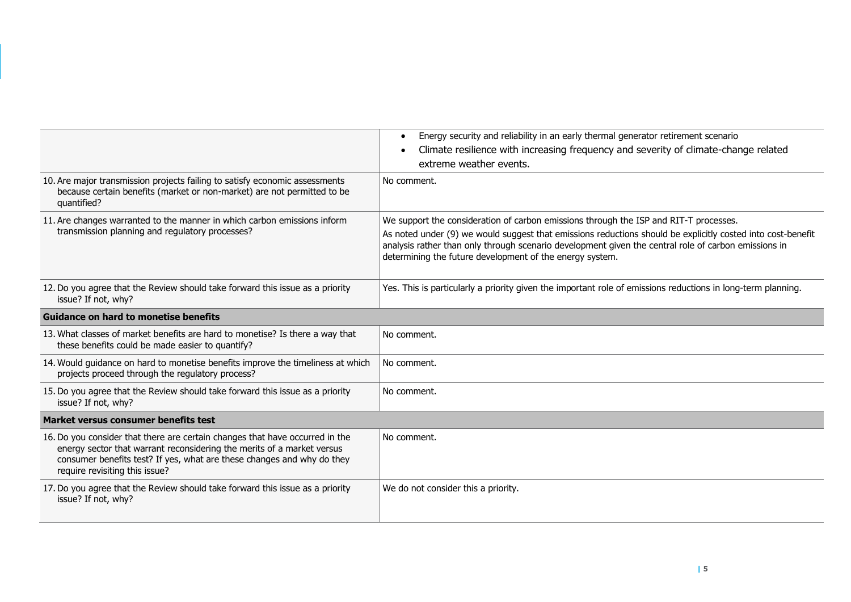|                                                                                                                                                                                                                                                                    | Energy security and reliability in an early thermal generator retirement scenario<br>$\bullet$<br>Climate resilience with increasing frequency and severity of climate-change related<br>$\bullet$<br>extreme weather events.                                                                                                                                            |
|--------------------------------------------------------------------------------------------------------------------------------------------------------------------------------------------------------------------------------------------------------------------|--------------------------------------------------------------------------------------------------------------------------------------------------------------------------------------------------------------------------------------------------------------------------------------------------------------------------------------------------------------------------|
| 10. Are major transmission projects failing to satisfy economic assessments<br>because certain benefits (market or non-market) are not permitted to be<br>quantified?                                                                                              | No comment.                                                                                                                                                                                                                                                                                                                                                              |
| 11. Are changes warranted to the manner in which carbon emissions inform<br>transmission planning and regulatory processes?                                                                                                                                        | We support the consideration of carbon emissions through the ISP and RIT-T processes.<br>As noted under (9) we would suggest that emissions reductions should be explicitly costed into cost-benefit<br>analysis rather than only through scenario development given the central role of carbon emissions in<br>determining the future development of the energy system. |
| 12. Do you agree that the Review should take forward this issue as a priority<br>issue? If not, why?                                                                                                                                                               | Yes. This is particularly a priority given the important role of emissions reductions in long-term planning.                                                                                                                                                                                                                                                             |
| <b>Guidance on hard to monetise benefits</b>                                                                                                                                                                                                                       |                                                                                                                                                                                                                                                                                                                                                                          |
| 13. What classes of market benefits are hard to monetise? Is there a way that<br>these benefits could be made easier to quantify?                                                                                                                                  | No comment.                                                                                                                                                                                                                                                                                                                                                              |
| 14. Would guidance on hard to monetise benefits improve the timeliness at which<br>projects proceed through the regulatory process?                                                                                                                                | No comment.                                                                                                                                                                                                                                                                                                                                                              |
| 15. Do you agree that the Review should take forward this issue as a priority<br>issue? If not, why?                                                                                                                                                               | No comment.                                                                                                                                                                                                                                                                                                                                                              |
| Market versus consumer benefits test                                                                                                                                                                                                                               |                                                                                                                                                                                                                                                                                                                                                                          |
| 16. Do you consider that there are certain changes that have occurred in the<br>energy sector that warrant reconsidering the merits of a market versus<br>consumer benefits test? If yes, what are these changes and why do they<br>require revisiting this issue? | No comment.                                                                                                                                                                                                                                                                                                                                                              |
| 17. Do you agree that the Review should take forward this issue as a priority<br>issue? If not, why?                                                                                                                                                               | We do not consider this a priority.                                                                                                                                                                                                                                                                                                                                      |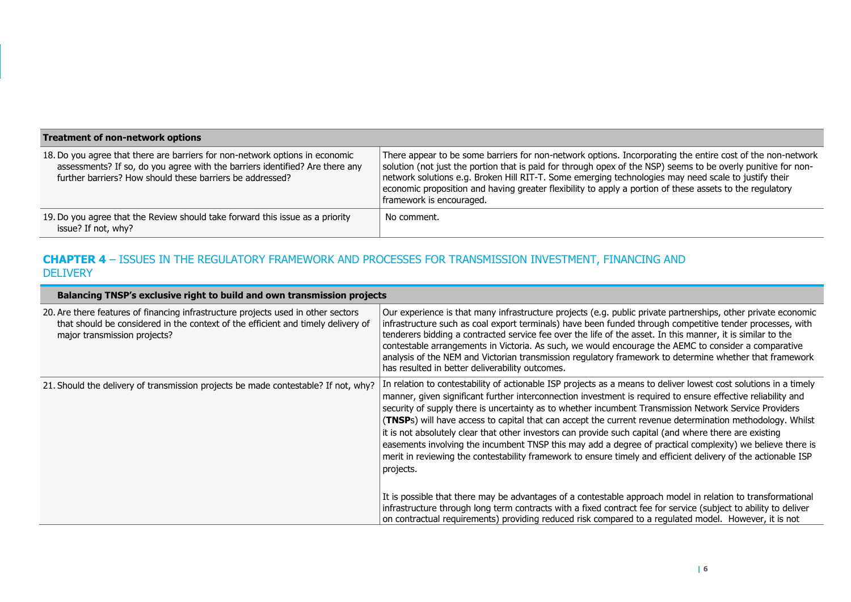| <b>Treatment of non-network options</b>                                                                                                                                                                                   |                                                                                                                                                                                                                                                                                                                                                                                                                                                                             |  |
|---------------------------------------------------------------------------------------------------------------------------------------------------------------------------------------------------------------------------|-----------------------------------------------------------------------------------------------------------------------------------------------------------------------------------------------------------------------------------------------------------------------------------------------------------------------------------------------------------------------------------------------------------------------------------------------------------------------------|--|
| 18. Do you agree that there are barriers for non-network options in economic<br>assessments? If so, do you agree with the barriers identified? Are there any<br>further barriers? How should these barriers be addressed? | There appear to be some barriers for non-network options. Incorporating the entire cost of the non-network<br>solution (not just the portion that is paid for through opex of the NSP) seems to be overly punitive for non-<br>network solutions e.g. Broken Hill RIT-T. Some emerging technologies may need scale to justify their<br>economic proposition and having greater flexibility to apply a portion of these assets to the regulatory<br>framework is encouraged. |  |
| 19. Do you agree that the Review should take forward this issue as a priority<br>issue? If not, why?                                                                                                                      | No comment.                                                                                                                                                                                                                                                                                                                                                                                                                                                                 |  |

## **CHAPTER 4** – ISSUES IN THE REGULATORY FRAMEWORK AND PROCESSES FOR TRANSMISSION INVESTMENT, FINANCING AND **DELIVERY**

| Balancing TNSP's exclusive right to build and own transmission projects                                                                                                                               |                                                                                                                                                                                                                                                                                                                                                                                                                                                                                                                                                                                                                                                                                                                                                                                                              |
|-------------------------------------------------------------------------------------------------------------------------------------------------------------------------------------------------------|--------------------------------------------------------------------------------------------------------------------------------------------------------------------------------------------------------------------------------------------------------------------------------------------------------------------------------------------------------------------------------------------------------------------------------------------------------------------------------------------------------------------------------------------------------------------------------------------------------------------------------------------------------------------------------------------------------------------------------------------------------------------------------------------------------------|
| 20. Are there features of financing infrastructure projects used in other sectors<br>that should be considered in the context of the efficient and timely delivery of<br>major transmission projects? | Our experience is that many infrastructure projects (e.g. public private partnerships, other private economic<br>infrastructure such as coal export terminals) have been funded through competitive tender processes, with<br>tenderers bidding a contracted service fee over the life of the asset. In this manner, it is similar to the<br>contestable arrangements in Victoria. As such, we would encourage the AEMC to consider a comparative<br>analysis of the NEM and Victorian transmission regulatory framework to determine whether that framework<br>has resulted in better deliverability outcomes.                                                                                                                                                                                              |
| 21. Should the delivery of transmission projects be made contestable? If not, why?                                                                                                                    | In relation to contestability of actionable ISP projects as a means to deliver lowest cost solutions in a timely<br>manner, given significant further interconnection investment is required to ensure effective reliability and<br>security of supply there is uncertainty as to whether incumbent Transmission Network Service Providers<br>(TNSPs) will have access to capital that can accept the current revenue determination methodology. Whilst<br>it is not absolutely clear that other investors can provide such capital (and where there are existing<br>easements involving the incumbent TNSP this may add a degree of practical complexity) we believe there is<br>merit in reviewing the contestability framework to ensure timely and efficient delivery of the actionable ISP<br>projects. |
|                                                                                                                                                                                                       | It is possible that there may be advantages of a contestable approach model in relation to transformational<br>infrastructure through long term contracts with a fixed contract fee for service (subject to ability to deliver<br>on contractual requirements) providing reduced risk compared to a regulated model. However, it is not                                                                                                                                                                                                                                                                                                                                                                                                                                                                      |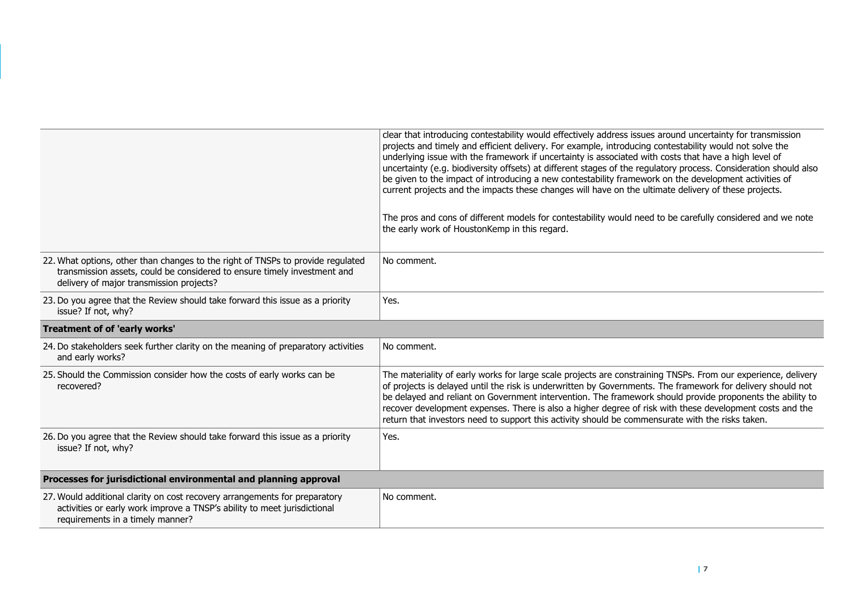|                                                                                                                                                                                                         | clear that introducing contestability would effectively address issues around uncertainty for transmission<br>projects and timely and efficient delivery. For example, introducing contestability would not solve the<br>underlying issue with the framework if uncertainty is associated with costs that have a high level of<br>uncertainty (e.g. biodiversity offsets) at different stages of the regulatory process. Consideration should also<br>be given to the impact of introducing a new contestability framework on the development activities of<br>current projects and the impacts these changes will have on the ultimate delivery of these projects.<br>The pros and cons of different models for contestability would need to be carefully considered and we note<br>the early work of HoustonKemp in this regard. |
|---------------------------------------------------------------------------------------------------------------------------------------------------------------------------------------------------------|------------------------------------------------------------------------------------------------------------------------------------------------------------------------------------------------------------------------------------------------------------------------------------------------------------------------------------------------------------------------------------------------------------------------------------------------------------------------------------------------------------------------------------------------------------------------------------------------------------------------------------------------------------------------------------------------------------------------------------------------------------------------------------------------------------------------------------|
| 22. What options, other than changes to the right of TNSPs to provide regulated<br>transmission assets, could be considered to ensure timely investment and<br>delivery of major transmission projects? | No comment.                                                                                                                                                                                                                                                                                                                                                                                                                                                                                                                                                                                                                                                                                                                                                                                                                        |
| 23. Do you agree that the Review should take forward this issue as a priority<br>issue? If not, why?                                                                                                    | Yes.                                                                                                                                                                                                                                                                                                                                                                                                                                                                                                                                                                                                                                                                                                                                                                                                                               |
| Treatment of of 'early works'                                                                                                                                                                           |                                                                                                                                                                                                                                                                                                                                                                                                                                                                                                                                                                                                                                                                                                                                                                                                                                    |
| 24. Do stakeholders seek further clarity on the meaning of preparatory activities<br>and early works?                                                                                                   | No comment.                                                                                                                                                                                                                                                                                                                                                                                                                                                                                                                                                                                                                                                                                                                                                                                                                        |
| 25. Should the Commission consider how the costs of early works can be<br>recovered?                                                                                                                    | The materiality of early works for large scale projects are constraining TNSPs. From our experience, delivery<br>of projects is delayed until the risk is underwritten by Governments. The framework for delivery should not<br>be delayed and reliant on Government intervention. The framework should provide proponents the ability to<br>recover development expenses. There is also a higher degree of risk with these development costs and the<br>return that investors need to support this activity should be commensurate with the risks taken.                                                                                                                                                                                                                                                                          |
| 26. Do you agree that the Review should take forward this issue as a priority<br>issue? If not, why?                                                                                                    | Yes.                                                                                                                                                                                                                                                                                                                                                                                                                                                                                                                                                                                                                                                                                                                                                                                                                               |
| Processes for jurisdictional environmental and planning approval                                                                                                                                        |                                                                                                                                                                                                                                                                                                                                                                                                                                                                                                                                                                                                                                                                                                                                                                                                                                    |
| 27. Would additional clarity on cost recovery arrangements for preparatory<br>activities or early work improve a TNSP's ability to meet jurisdictional<br>requirements in a timely manner?              | No comment.                                                                                                                                                                                                                                                                                                                                                                                                                                                                                                                                                                                                                                                                                                                                                                                                                        |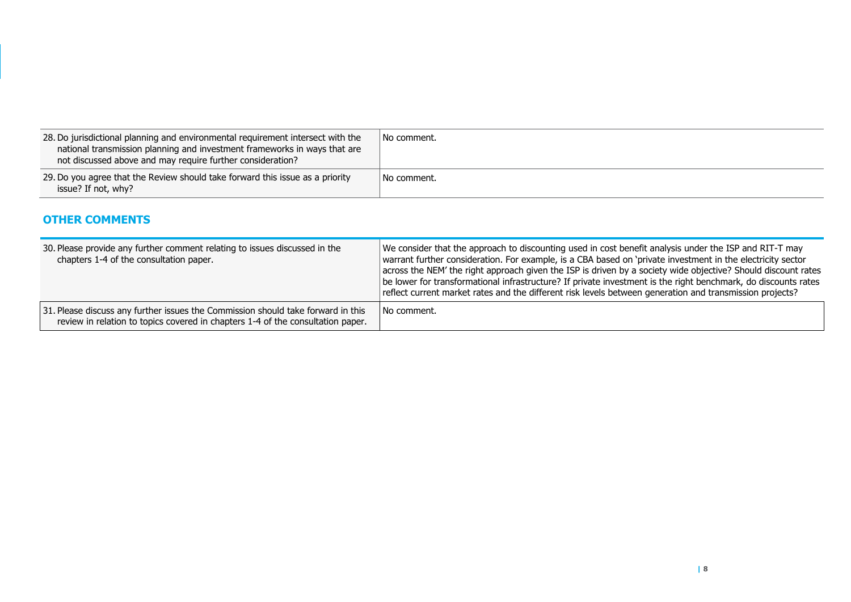| 28. Do jurisdictional planning and environmental requirement intersect with the<br>national transmission planning and investment frameworks in ways that are<br>not discussed above and may require further consideration? | No comment. |
|----------------------------------------------------------------------------------------------------------------------------------------------------------------------------------------------------------------------------|-------------|
| 29. Do you agree that the Review should take forward this issue as a priority<br>issue? If not, why?                                                                                                                       | No comment. |

## **OTHER COMMENTS**

| 30. Please provide any further comment relating to issues discussed in the<br>chapters 1-4 of the consultation paper.                                               | We consider that the approach to discounting used in cost benefit analysis under the ISP and RIT-T may<br>warrant further consideration. For example, is a CBA based on 'private investment in the electricity sector<br>across the NEM' the right approach given the ISP is driven by a society wide objective? Should discount rates<br>be lower for transformational infrastructure? If private investment is the right benchmark, do discounts rates<br>reflect current market rates and the different risk levels between generation and transmission projects? |
|---------------------------------------------------------------------------------------------------------------------------------------------------------------------|----------------------------------------------------------------------------------------------------------------------------------------------------------------------------------------------------------------------------------------------------------------------------------------------------------------------------------------------------------------------------------------------------------------------------------------------------------------------------------------------------------------------------------------------------------------------|
| 31. Please discuss any further issues the Commission should take forward in this<br>review in relation to topics covered in chapters 1-4 of the consultation paper. | l No comment.                                                                                                                                                                                                                                                                                                                                                                                                                                                                                                                                                        |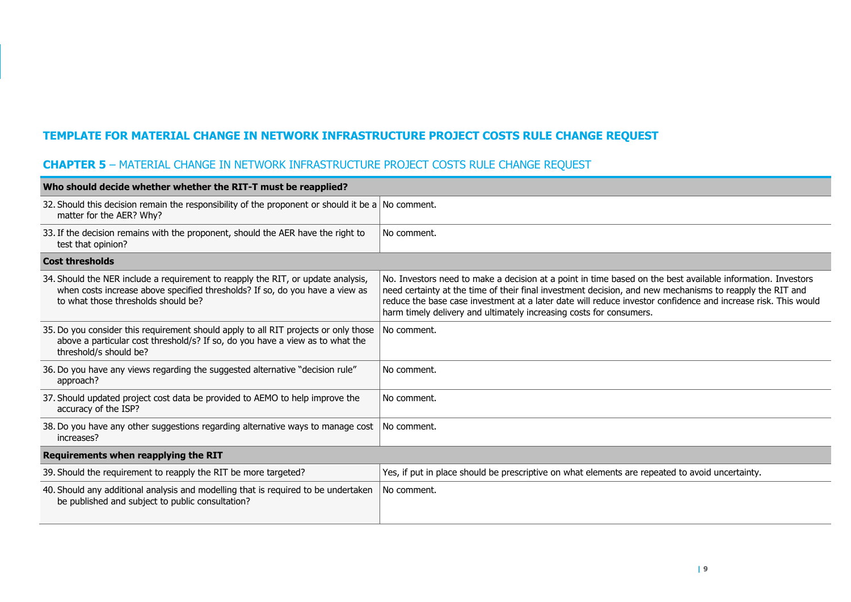# **TEMPLATE FOR MATERIAL CHANGE IN NETWORK INFRASTRUCTURE PROJECT COSTS RULE CHANGE REQUEST**

# **CHAPTER 5** – MATERIAL CHANGE IN NETWORK INFRASTRUCTURE PROJECT COSTS RULE CHANGE REQUEST

| Who should decide whether whether the RIT-T must be reapplied?                                                                                                                                          |                                                                                                                                                                                                                                                                                                                                                                                                                 |  |
|---------------------------------------------------------------------------------------------------------------------------------------------------------------------------------------------------------|-----------------------------------------------------------------------------------------------------------------------------------------------------------------------------------------------------------------------------------------------------------------------------------------------------------------------------------------------------------------------------------------------------------------|--|
| 32. Should this decision remain the responsibility of the proponent or should it be a $\vert$ No comment.<br>matter for the AER? Why?                                                                   |                                                                                                                                                                                                                                                                                                                                                                                                                 |  |
| 33. If the decision remains with the proponent, should the AER have the right to<br>test that opinion?                                                                                                  | No comment.                                                                                                                                                                                                                                                                                                                                                                                                     |  |
| <b>Cost thresholds</b>                                                                                                                                                                                  |                                                                                                                                                                                                                                                                                                                                                                                                                 |  |
| 34. Should the NER include a requirement to reapply the RIT, or update analysis,<br>when costs increase above specified thresholds? If so, do you have a view as<br>to what those thresholds should be? | No. Investors need to make a decision at a point in time based on the best available information. Investors<br>need certainty at the time of their final investment decision, and new mechanisms to reapply the RIT and<br>reduce the base case investment at a later date will reduce investor confidence and increase risk. This would<br>harm timely delivery and ultimately increasing costs for consumers. |  |
| 35. Do you consider this requirement should apply to all RIT projects or only those<br>above a particular cost threshold/s? If so, do you have a view as to what the<br>threshold/s should be?          | No comment.                                                                                                                                                                                                                                                                                                                                                                                                     |  |
| 36. Do you have any views regarding the suggested alternative "decision rule"<br>approach?                                                                                                              | No comment.                                                                                                                                                                                                                                                                                                                                                                                                     |  |
| 37. Should updated project cost data be provided to AEMO to help improve the<br>accuracy of the ISP?                                                                                                    | No comment.                                                                                                                                                                                                                                                                                                                                                                                                     |  |
| 38. Do you have any other suggestions regarding alternative ways to manage cost<br>increases?                                                                                                           | No comment.                                                                                                                                                                                                                                                                                                                                                                                                     |  |
| Requirements when reapplying the RIT                                                                                                                                                                    |                                                                                                                                                                                                                                                                                                                                                                                                                 |  |
| 39. Should the requirement to reapply the RIT be more targeted?                                                                                                                                         | Yes, if put in place should be prescriptive on what elements are repeated to avoid uncertainty.                                                                                                                                                                                                                                                                                                                 |  |
| 40. Should any additional analysis and modelling that is required to be undertaken<br>be published and subject to public consultation?                                                                  | No comment.                                                                                                                                                                                                                                                                                                                                                                                                     |  |